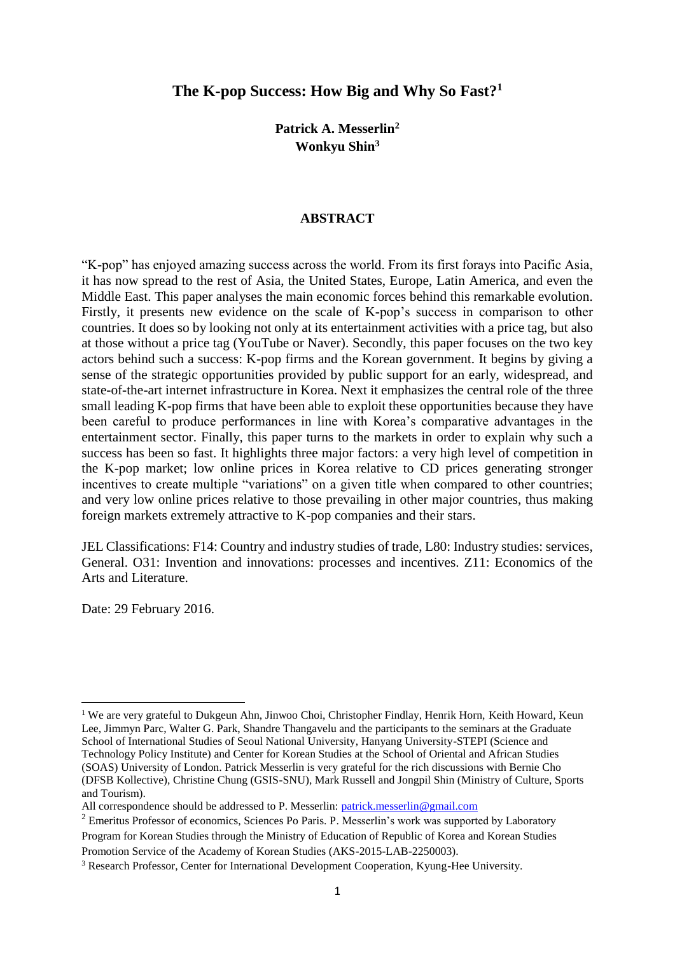# **The K-pop Success: How Big and Why So Fast?<sup>1</sup>**

**Patrick A. Messerlin<sup>2</sup> Wonkyu Shin<sup>3</sup>**

#### **ABSTRACT**

"K-pop" has enjoyed amazing success across the world. From its first forays into Pacific Asia, it has now spread to the rest of Asia, the United States, Europe, Latin America, and even the Middle East. This paper analyses the main economic forces behind this remarkable evolution. Firstly, it presents new evidence on the scale of K-pop's success in comparison to other countries. It does so by looking not only at its entertainment activities with a price tag, but also at those without a price tag (YouTube or Naver). Secondly, this paper focuses on the two key actors behind such a success: K-pop firms and the Korean government. It begins by giving a sense of the strategic opportunities provided by public support for an early, widespread, and state-of-the-art internet infrastructure in Korea. Next it emphasizes the central role of the three small leading K-pop firms that have been able to exploit these opportunities because they have been careful to produce performances in line with Korea's comparative advantages in the entertainment sector. Finally, this paper turns to the markets in order to explain why such a success has been so fast. It highlights three major factors: a very high level of competition in the K-pop market; low online prices in Korea relative to CD prices generating stronger incentives to create multiple "variations" on a given title when compared to other countries; and very low online prices relative to those prevailing in other major countries, thus making foreign markets extremely attractive to K-pop companies and their stars.

JEL Classifications: F14: Country and industry studies of trade, L80: Industry studies: services, General. O31: Invention and innovations: processes and incentives. Z11: Economics of the Arts and Literature.

Date: 29 February 2016.

**.** 

Program for Korean Studies through the Ministry of Education of Republic of Korea and Korean Studies Promotion Service of the Academy of Korean Studies (AKS-2015-LAB-2250003).

<sup>&</sup>lt;sup>1</sup> We are very grateful to Dukgeun Ahn, Jinwoo Choi, Christopher Findlay, Henrik Horn, Keith Howard, Keun Lee, Jimmyn Parc, Walter G. Park, Shandre Thangavelu and the participants to the seminars at the Graduate School of International Studies of Seoul National University, Hanyang University-STEPI (Science and Technology Policy Institute) and Center for Korean Studies at the School of Oriental and African Studies (SOAS) University of London. Patrick Messerlin is very grateful for the rich discussions with Bernie Cho (DFSB Kollective), Christine Chung (GSIS-SNU), Mark Russell and Jongpil Shin (Ministry of Culture, Sports and Tourism).

All correspondence should be addressed to P. Messerlin: [patrick.messerlin@gmail.com](mailto:patrick.messerlin@gmail.com)

<sup>&</sup>lt;sup>2</sup> Emeritus Professor of economics, Sciences Po Paris. P. Messerlin's work was supported by Laboratory

<sup>3</sup> Research Professor, Center for International Development Cooperation, Kyung-Hee University.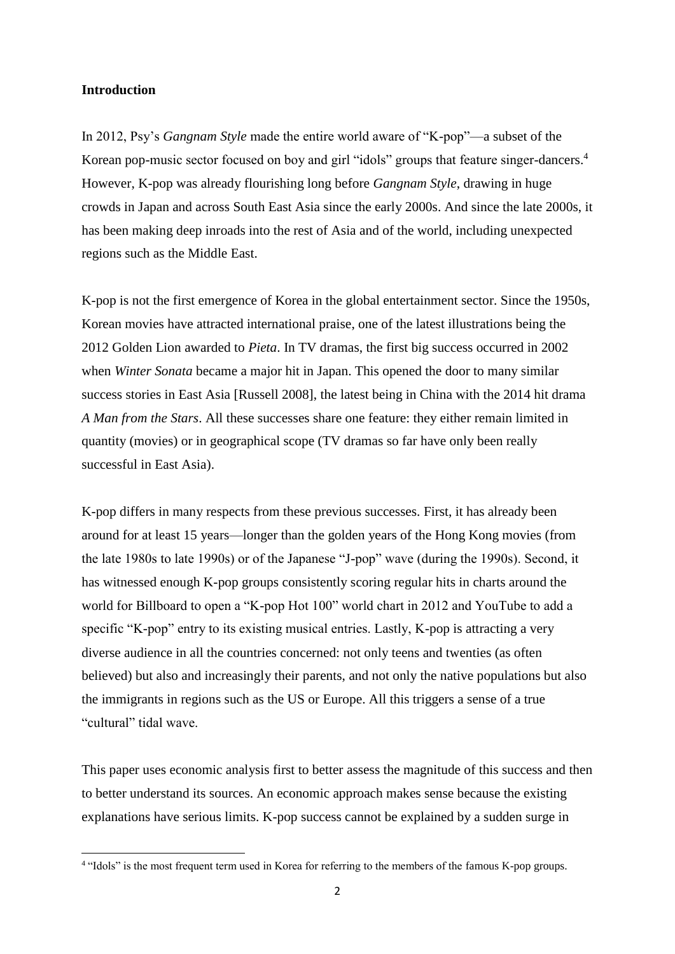### **Introduction**

In 2012, Psy's *Gangnam Style* made the entire world aware of "K-pop"—a subset of the Korean pop-music sector focused on boy and girl "idols" groups that feature singer-dancers.<sup>4</sup> However, K-pop was already flourishing long before *Gangnam Style*, drawing in huge crowds in Japan and across South East Asia since the early 2000s. And since the late 2000s, it has been making deep inroads into the rest of Asia and of the world, including unexpected regions such as the Middle East.

K-pop is not the first emergence of Korea in the global entertainment sector. Since the 1950s, Korean movies have attracted international praise, one of the latest illustrations being the 2012 Golden Lion awarded to *Pieta*. In TV dramas, the first big success occurred in 2002 when *Winter Sonata* became a major hit in Japan. This opened the door to many similar success stories in East Asia [Russell 2008], the latest being in China with the 2014 hit drama *A Man from the Stars*. All these successes share one feature: they either remain limited in quantity (movies) or in geographical scope (TV dramas so far have only been really successful in East Asia).

K-pop differs in many respects from these previous successes. First, it has already been around for at least 15 years—longer than the golden years of the Hong Kong movies (from the late 1980s to late 1990s) or of the Japanese "J-pop" wave (during the 1990s). Second, it has witnessed enough K-pop groups consistently scoring regular hits in charts around the world for Billboard to open a "K-pop Hot 100" world chart in 2012 and YouTube to add a specific "K-pop" entry to its existing musical entries. Lastly, K-pop is attracting a very diverse audience in all the countries concerned: not only teens and twenties (as often believed) but also and increasingly their parents, and not only the native populations but also the immigrants in regions such as the US or Europe. All this triggers a sense of a true "cultural" tidal wave.

This paper uses economic analysis first to better assess the magnitude of this success and then to better understand its sources. An economic approach makes sense because the existing explanations have serious limits. K-pop success cannot be explained by a sudden surge in

 4 "Idols" is the most frequent term used in Korea for referring to the members of the famous K-pop groups.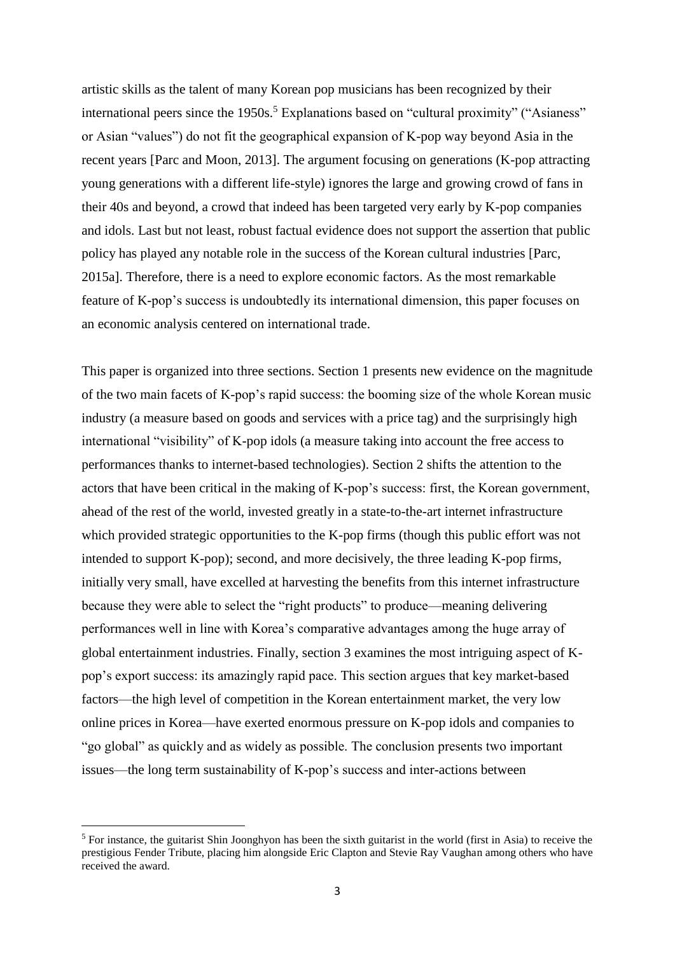artistic skills as the talent of many Korean pop musicians has been recognized by their international peers since the 1950s.<sup>5</sup> Explanations based on "cultural proximity" ("Asianess" or Asian "values") do not fit the geographical expansion of K-pop way beyond Asia in the recent years [Parc and Moon, 2013]. The argument focusing on generations (K-pop attracting young generations with a different life-style) ignores the large and growing crowd of fans in their 40s and beyond, a crowd that indeed has been targeted very early by K-pop companies and idols. Last but not least, robust factual evidence does not support the assertion that public policy has played any notable role in the success of the Korean cultural industries [Parc, 2015a]. Therefore, there is a need to explore economic factors. As the most remarkable feature of K-pop's success is undoubtedly its international dimension, this paper focuses on an economic analysis centered on international trade.

This paper is organized into three sections. Section 1 presents new evidence on the magnitude of the two main facets of K-pop's rapid success: the booming size of the whole Korean music industry (a measure based on goods and services with a price tag) and the surprisingly high international "visibility" of K-pop idols (a measure taking into account the free access to performances thanks to internet-based technologies). Section 2 shifts the attention to the actors that have been critical in the making of K-pop's success: first, the Korean government, ahead of the rest of the world, invested greatly in a state-to-the-art internet infrastructure which provided strategic opportunities to the K-pop firms (though this public effort was not intended to support K-pop); second, and more decisively, the three leading K-pop firms, initially very small, have excelled at harvesting the benefits from this internet infrastructure because they were able to select the "right products" to produce—meaning delivering performances well in line with Korea's comparative advantages among the huge array of global entertainment industries. Finally, section 3 examines the most intriguing aspect of Kpop's export success: its amazingly rapid pace. This section argues that key market-based factors—the high level of competition in the Korean entertainment market, the very low online prices in Korea—have exerted enormous pressure on K-pop idols and companies to "go global" as quickly and as widely as possible. The conclusion presents two important issues—the long term sustainability of K-pop's success and inter-actions between

1

<sup>&</sup>lt;sup>5</sup> For instance, the guitarist Shin Joonghyon has been the sixth guitarist in the world (first in Asia) to receive the prestigious Fender Tribute, placing him alongside Eric Clapton and Stevie Ray Vaughan among others who have received the award.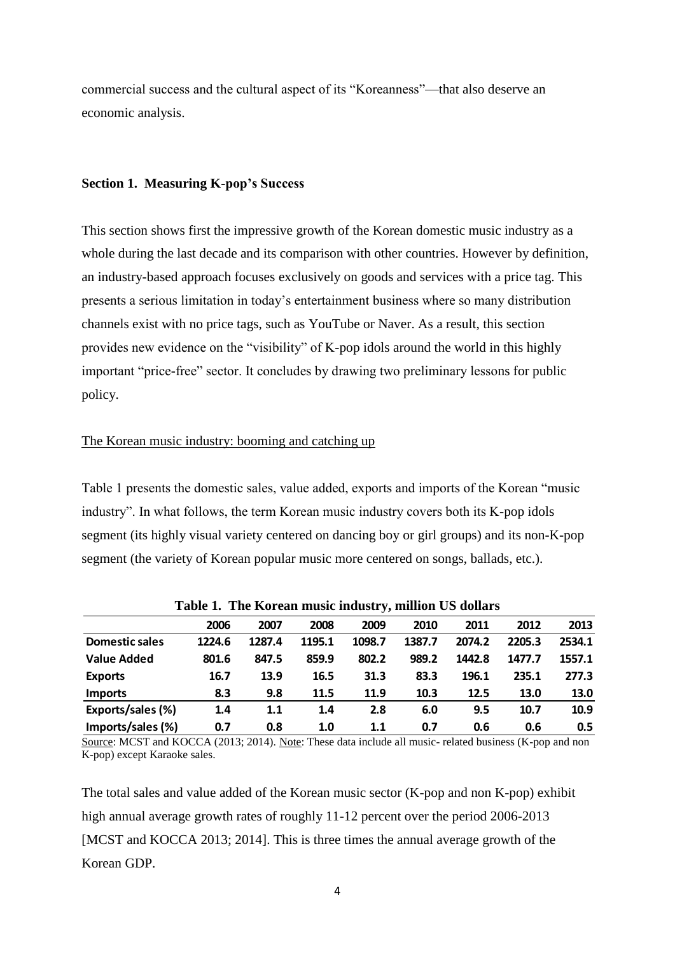commercial success and the cultural aspect of its "Koreanness"—that also deserve an economic analysis.

#### **Section 1. Measuring K-pop's Success**

This section shows first the impressive growth of the Korean domestic music industry as a whole during the last decade and its comparison with other countries. However by definition, an industry-based approach focuses exclusively on goods and services with a price tag. This presents a serious limitation in today's entertainment business where so many distribution channels exist with no price tags, such as YouTube or Naver. As a result, this section provides new evidence on the "visibility" of K-pop idols around the world in this highly important "price-free" sector. It concludes by drawing two preliminary lessons for public policy.

# The Korean music industry: booming and catching up

Table 1 presents the domestic sales, value added, exports and imports of the Korean "music industry". In what follows, the term Korean music industry covers both its K-pop idols segment (its highly visual variety centered on dancing boy or girl groups) and its non-K-pop segment (the variety of Korean popular music more centered on songs, ballads, etc.).

|                       | 2006   | 2007   | 2008   | 2009   | 2010   | 2011   | 2012   | 2013   |
|-----------------------|--------|--------|--------|--------|--------|--------|--------|--------|
| <b>Domestic sales</b> | 1224.6 | 1287.4 | 1195.1 | 1098.7 | 1387.7 | 2074.2 | 2205.3 | 2534.1 |
| <b>Value Added</b>    | 801.6  | 847.5  | 859.9  | 802.2  | 989.2  | 1442.8 | 1477.7 | 1557.1 |
| <b>Exports</b>        | 16.7   | 13.9   | 16.5   | 31.3   | 83.3   | 196.1  | 235.1  | 277.3  |
| <b>Imports</b>        | 8.3    | 9.8    | 11.5   | 11.9   | 10.3   | 12.5   | 13.0   | 13.0   |
| Exports/sales (%)     | 1.4    | 1.1    | 1.4    | 2.8    | 6.0    | 9.5    | 10.7   | 10.9   |
| Imports/sales (%)     | 0.7    | 0.8    | 1.0    | 1.1    | 0.7    | 0.6    | 0.6    | 0.5    |

**Table 1. The Korean music industry, million US dollars**

Source: MCST and KOCCA (2013; 2014). Note: These data include all music- related business (K-pop and non K-pop) except Karaoke sales.

The total sales and value added of the Korean music sector (K-pop and non K-pop) exhibit high annual average growth rates of roughly 11-12 percent over the period 2006-2013 [MCST and KOCCA 2013; 2014]. This is three times the annual average growth of the Korean GDP.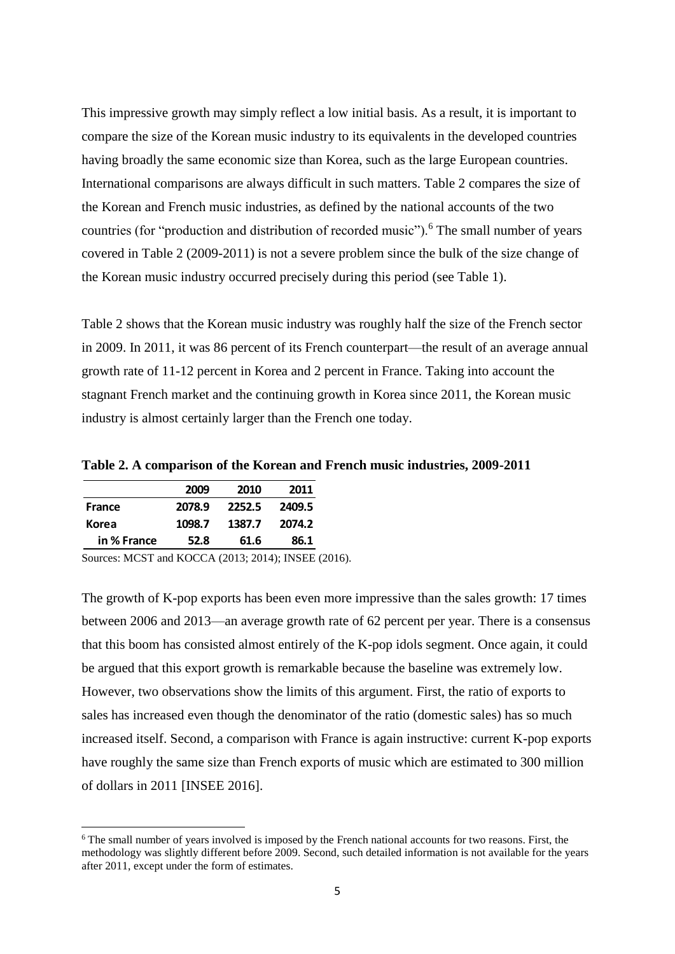This impressive growth may simply reflect a low initial basis. As a result, it is important to compare the size of the Korean music industry to its equivalents in the developed countries having broadly the same economic size than Korea, such as the large European countries. International comparisons are always difficult in such matters. Table 2 compares the size of the Korean and French music industries, as defined by the national accounts of the two countries (for "production and distribution of recorded music").<sup>6</sup> The small number of years covered in Table 2 (2009-2011) is not a severe problem since the bulk of the size change of the Korean music industry occurred precisely during this period (see Table 1).

Table 2 shows that the Korean music industry was roughly half the size of the French sector in 2009. In 2011, it was 86 percent of its French counterpart—the result of an average annual growth rate of 11-12 percent in Korea and 2 percent in France. Taking into account the stagnant French market and the continuing growth in Korea since 2011, the Korean music industry is almost certainly larger than the French one today.

|             | 2009   | 2010   | 2011   |
|-------------|--------|--------|--------|
| France      | 2078.9 | 2252.5 | 2409.5 |
| Korea       | 1098.7 | 1387.7 | 2074.2 |
| in % France | 52.8   | 61.6   | 86.1   |

1

**Table 2. A comparison of the Korean and French music industries, 2009-2011**

Sources: MCST and KOCCA (2013; 2014); INSEE (2016).

The growth of K-pop exports has been even more impressive than the sales growth: 17 times between 2006 and 2013—an average growth rate of 62 percent per year. There is a consensus that this boom has consisted almost entirely of the K-pop idols segment. Once again, it could be argued that this export growth is remarkable because the baseline was extremely low. However, two observations show the limits of this argument. First, the ratio of exports to sales has increased even though the denominator of the ratio (domestic sales) has so much increased itself. Second, a comparison with France is again instructive: current K-pop exports have roughly the same size than French exports of music which are estimated to 300 million of dollars in 2011 [INSEE 2016].

<sup>&</sup>lt;sup>6</sup> The small number of years involved is imposed by the French national accounts for two reasons. First, the methodology was slightly different before 2009. Second, such detailed information is not available for the years after 2011, except under the form of estimates.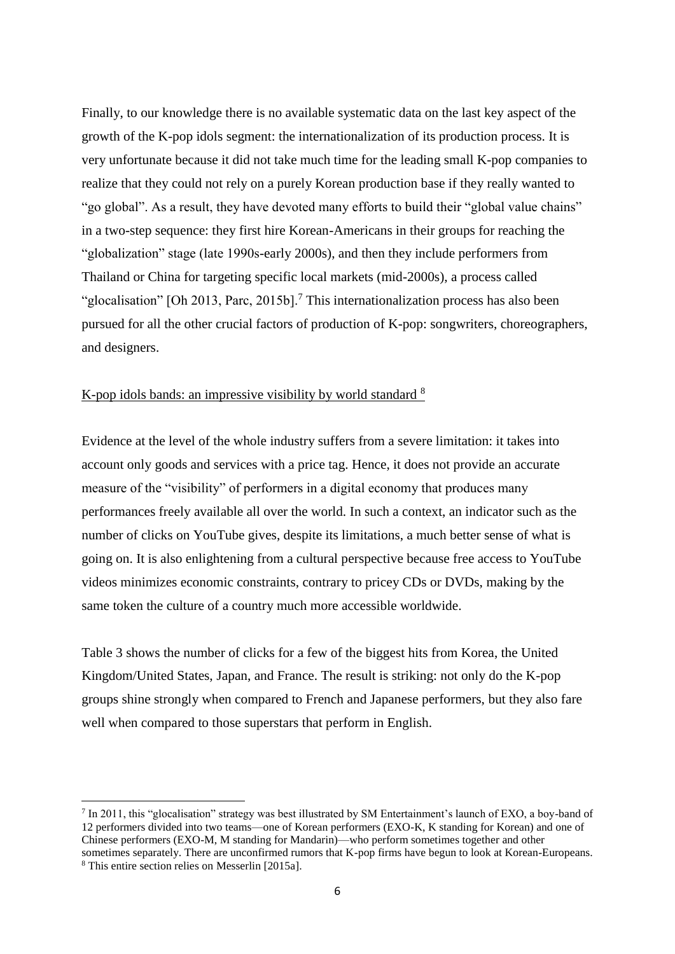Finally, to our knowledge there is no available systematic data on the last key aspect of the growth of the K-pop idols segment: the internationalization of its production process. It is very unfortunate because it did not take much time for the leading small K-pop companies to realize that they could not rely on a purely Korean production base if they really wanted to "go global". As a result, they have devoted many efforts to build their "global value chains" in a two-step sequence: they first hire Korean-Americans in their groups for reaching the "globalization" stage (late 1990s-early 2000s), and then they include performers from Thailand or China for targeting specific local markets (mid-2000s), a process called "glocalisation" [Oh 2013, Parc, 2015b].<sup>7</sup> This internationalization process has also been pursued for all the other crucial factors of production of K-pop: songwriters, choreographers, and designers.

# K-pop idols bands: an impressive visibility by world standard <sup>8</sup>

**.** 

Evidence at the level of the whole industry suffers from a severe limitation: it takes into account only goods and services with a price tag. Hence, it does not provide an accurate measure of the "visibility" of performers in a digital economy that produces many performances freely available all over the world. In such a context, an indicator such as the number of clicks on YouTube gives, despite its limitations, a much better sense of what is going on. It is also enlightening from a cultural perspective because free access to YouTube videos minimizes economic constraints, contrary to pricey CDs or DVDs, making by the same token the culture of a country much more accessible worldwide.

Table 3 shows the number of clicks for a few of the biggest hits from Korea, the United Kingdom/United States, Japan, and France. The result is striking: not only do the K-pop groups shine strongly when compared to French and Japanese performers, but they also fare well when compared to those superstars that perform in English.

<sup>&</sup>lt;sup>7</sup> In 2011, this "glocalisation" strategy was best illustrated by SM Entertainment's launch of EXO, a boy-band of 12 performers divided into two teams—one of Korean performers (EXO-K, K standing for Korean) and one of Chinese performers (EXO-M, M standing for Mandarin)—who perform sometimes together and other sometimes separately. There are unconfirmed rumors that K-pop firms have begun to look at Korean-Europeans. <sup>8</sup> This entire section relies on Messerlin [2015a].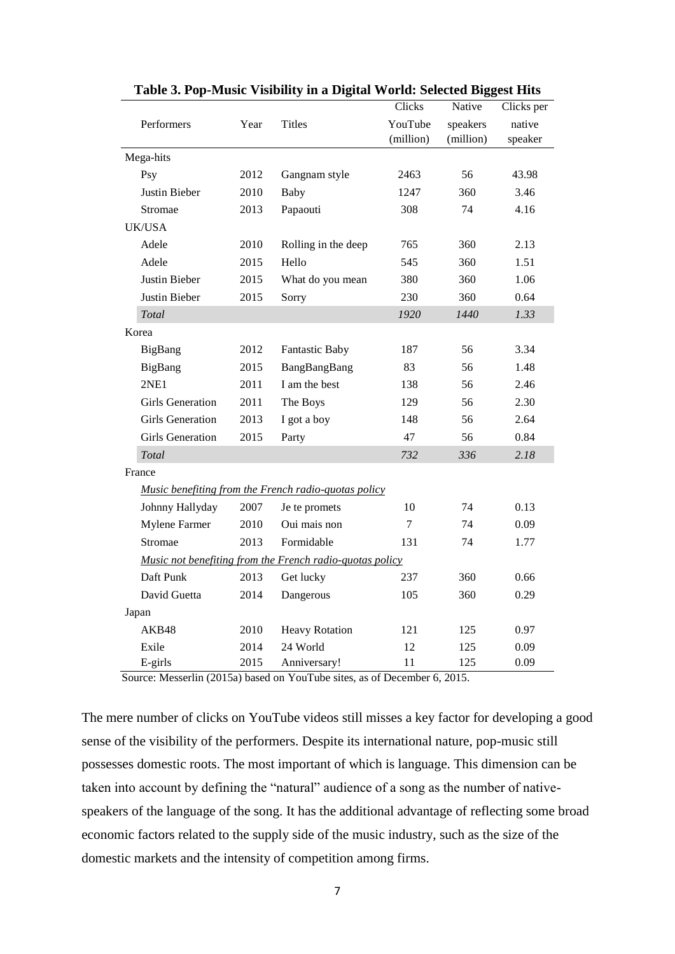|                         |      |                                                          | Clicks    | Native    | Clicks per |
|-------------------------|------|----------------------------------------------------------|-----------|-----------|------------|
| Performers              | Year | <b>Titles</b>                                            | YouTube   | speakers  | native     |
|                         |      |                                                          | (million) | (million) | speaker    |
| Mega-hits               |      |                                                          |           |           |            |
| Psy                     | 2012 | Gangnam style                                            | 2463      | 56        | 43.98      |
| Justin Bieber           | 2010 | <b>Baby</b>                                              | 1247      | 360       | 3.46       |
| Stromae                 | 2013 | Papaouti                                                 | 308       | 74        | 4.16       |
| <b>UK/USA</b>           |      |                                                          |           |           |            |
| Adele                   | 2010 | Rolling in the deep                                      | 765       | 360       | 2.13       |
| Adele                   | 2015 | Hello                                                    | 545       | 360       | 1.51       |
| Justin Bieber           | 2015 | What do you mean                                         | 380       | 360       | 1.06       |
| Justin Bieber           | 2015 | Sorry                                                    | 230       | 360       | 0.64       |
| <b>Total</b>            |      |                                                          | 1920      | 1440      | 1.33       |
| Korea                   |      |                                                          |           |           |            |
| BigBang                 | 2012 | <b>Fantastic Baby</b>                                    | 187       | 56        | 3.34       |
| BigBang                 | 2015 | BangBangBang                                             | 83        | 56        | 1.48       |
| 2NE1                    | 2011 | I am the best                                            | 138       | 56        | 2.46       |
| <b>Girls Generation</b> | 2011 | The Boys                                                 | 129       | 56        | 2.30       |
| <b>Girls Generation</b> | 2013 | I got a boy                                              | 148       | 56        | 2.64       |
| <b>Girls Generation</b> | 2015 | Party                                                    | 47        | 56        | 0.84       |
| Total                   |      |                                                          | 732       | 336       | 2.18       |
| France                  |      |                                                          |           |           |            |
|                         |      | Music benefiting from the French radio-quotas policy     |           |           |            |
| Johnny Hallyday         | 2007 | Je te promets                                            | 10        | 74        | 0.13       |
| Mylene Farmer           | 2010 | Oui mais non                                             | $\tau$    | 74        | 0.09       |
| Stromae                 | 2013 | Formidable                                               | 131       | 74        | 1.77       |
|                         |      | Music not benefiting from the French radio-quotas policy |           |           |            |
| Daft Punk               | 2013 | Get lucky                                                | 237       | 360       | 0.66       |
| David Guetta            | 2014 | Dangerous                                                | 105       | 360       | 0.29       |
| Japan                   |      |                                                          |           |           |            |
| AKB48                   | 2010 | <b>Heavy Rotation</b>                                    | 121       | 125       | 0.97       |
| Exile                   | 2014 | 24 World                                                 | 12        | 125       | 0.09       |
| E-girls                 | 2015 | Anniversary!                                             | 11        | 125       | 0.09       |

#### **Table 3. Pop-Music Visibility in a Digital World: Selected Biggest Hits**

Source: Messerlin (2015a) based on YouTube sites, as of December 6, 2015.

The mere number of clicks on YouTube videos still misses a key factor for developing a good sense of the visibility of the performers. Despite its international nature, pop-music still possesses domestic roots. The most important of which is language. This dimension can be taken into account by defining the "natural" audience of a song as the number of nativespeakers of the language of the song. It has the additional advantage of reflecting some broad economic factors related to the supply side of the music industry, such as the size of the domestic markets and the intensity of competition among firms.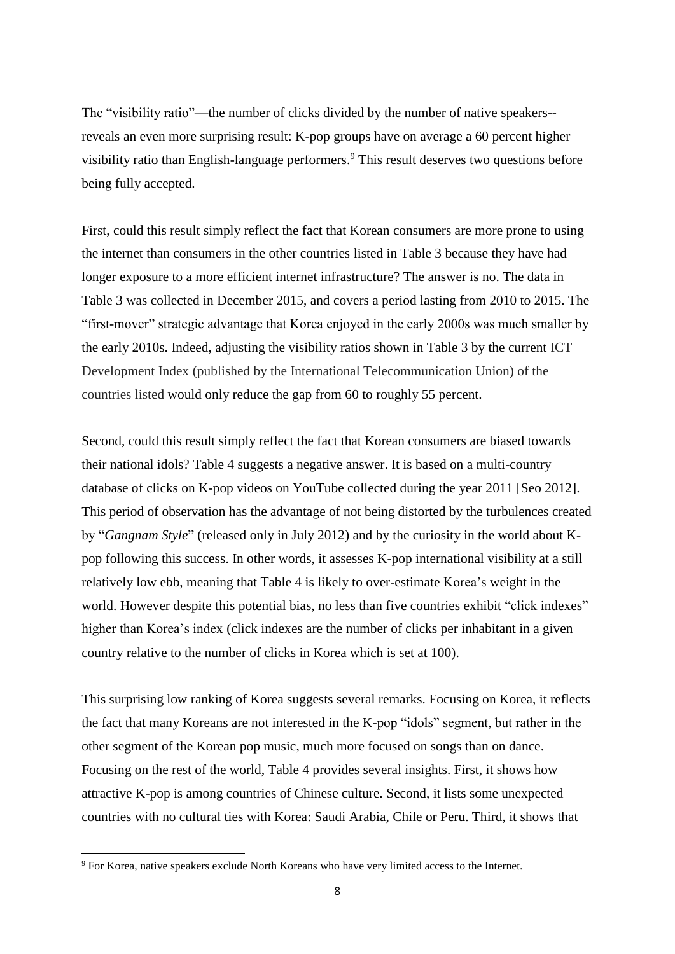The "visibility ratio"—the number of clicks divided by the number of native speakers- reveals an even more surprising result: K-pop groups have on average a 60 percent higher visibility ratio than English-language performers.<sup>9</sup> This result deserves two questions before being fully accepted.

First, could this result simply reflect the fact that Korean consumers are more prone to using the internet than consumers in the other countries listed in Table 3 because they have had longer exposure to a more efficient internet infrastructure? The answer is no. The data in Table 3 was collected in December 2015, and covers a period lasting from 2010 to 2015. The "first-mover" strategic advantage that Korea enjoyed in the early 2000s was much smaller by the early 2010s. Indeed, adjusting the visibility ratios shown in Table 3 by the current ICT Development Index (published by the International Telecommunication Union) of the countries listed would only reduce the gap from 60 to roughly 55 percent.

Second, could this result simply reflect the fact that Korean consumers are biased towards their national idols? Table 4 suggests a negative answer. It is based on a multi-country database of clicks on K-pop videos on YouTube collected during the year 2011 [Seo 2012]. This period of observation has the advantage of not being distorted by the turbulences created by "*Gangnam Style*" (released only in July 2012) and by the curiosity in the world about Kpop following this success. In other words, it assesses K-pop international visibility at a still relatively low ebb, meaning that Table 4 is likely to over-estimate Korea's weight in the world. However despite this potential bias, no less than five countries exhibit "click indexes" higher than Korea's index (click indexes are the number of clicks per inhabitant in a given country relative to the number of clicks in Korea which is set at 100).

This surprising low ranking of Korea suggests several remarks. Focusing on Korea, it reflects the fact that many Koreans are not interested in the K-pop "idols" segment, but rather in the other segment of the Korean pop music, much more focused on songs than on dance. Focusing on the rest of the world, Table 4 provides several insights. First, it shows how attractive K-pop is among countries of Chinese culture. Second, it lists some unexpected countries with no cultural ties with Korea: Saudi Arabia, Chile or Peru. Third, it shows that

**.** 

<sup>9</sup> For Korea, native speakers exclude North Koreans who have very limited access to the Internet.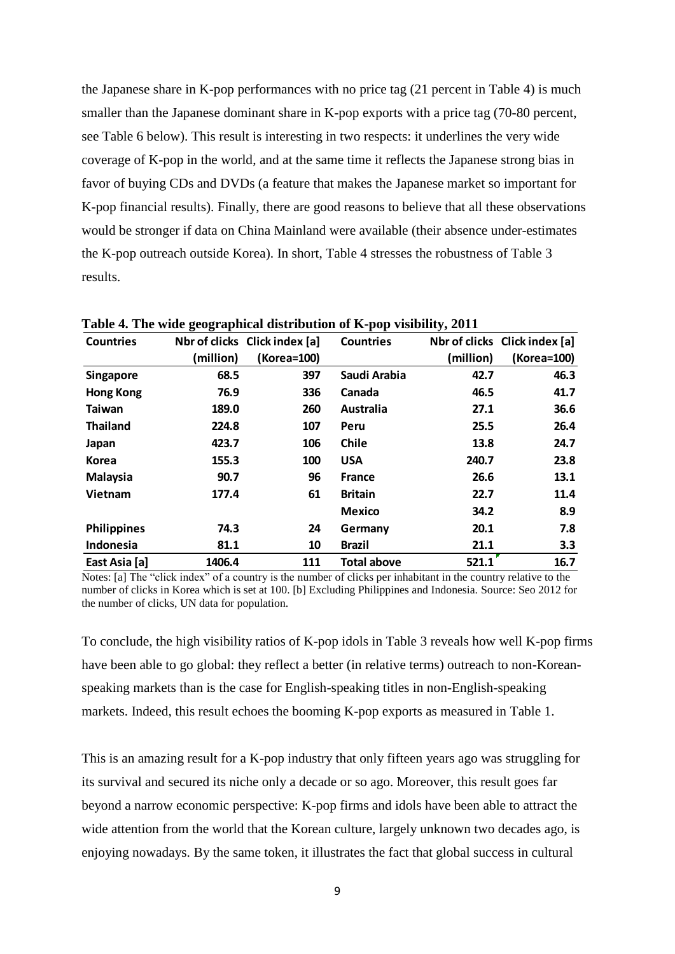the Japanese share in K-pop performances with no price tag (21 percent in Table 4) is much smaller than the Japanese dominant share in K-pop exports with a price tag (70-80 percent, see Table 6 below). This result is interesting in two respects: it underlines the very wide coverage of K-pop in the world, and at the same time it reflects the Japanese strong bias in favor of buying CDs and DVDs (a feature that makes the Japanese market so important for K-pop financial results). Finally, there are good reasons to believe that all these observations would be stronger if data on China Mainland were available (their absence under-estimates the K-pop outreach outside Korea). In short, Table 4 stresses the robustness of Table 3 results.

| <b>Countries</b>   |           | Nbr of clicks Click index [a] | <b>Countries</b>   |           | Nbr of clicks Click index [a] |
|--------------------|-----------|-------------------------------|--------------------|-----------|-------------------------------|
|                    | (million) | (Korea=100)                   |                    | (million) | (Korea=100)                   |
| <b>Singapore</b>   | 68.5      | 397                           | Saudi Arabia       | 42.7      | 46.3                          |
| <b>Hong Kong</b>   | 76.9      | 336                           | Canada             | 46.5      | 41.7                          |
| Taiwan             | 189.0     | 260                           | Australia          | 27.1      | 36.6                          |
| <b>Thailand</b>    | 224.8     | 107                           | Peru               | 25.5      | 26.4                          |
| Japan              | 423.7     | 106                           | <b>Chile</b>       | 13.8      | 24.7                          |
| <b>Korea</b>       | 155.3     | 100                           | <b>USA</b>         | 240.7     | 23.8                          |
| <b>Malaysia</b>    | 90.7      | 96                            | <b>France</b>      | 26.6      | 13.1                          |
| Vietnam            | 177.4     | 61                            | <b>Britain</b>     | 22.7      | 11.4                          |
|                    |           |                               | <b>Mexico</b>      | 34.2      | 8.9                           |
| <b>Philippines</b> | 74.3      | 24                            | Germany            | 20.1      | 7.8                           |
| Indonesia          | 81.1      | 10                            | <b>Brazil</b>      | 21.1      | 3.3                           |
| East Asia [a]      | 1406.4    | 111                           | <b>Total above</b> | 521.1     | 16.7                          |

**Table 4. The wide geographical distribution of K-pop visibility, 2011**

Notes: [a] The "click index" of a country is the number of clicks per inhabitant in the country relative to the number of clicks in Korea which is set at 100. [b] Excluding Philippines and Indonesia. Source: Seo 2012 for the number of clicks, UN data for population.

To conclude, the high visibility ratios of K-pop idols in Table 3 reveals how well K-pop firms have been able to go global: they reflect a better (in relative terms) outreach to non-Koreanspeaking markets than is the case for English-speaking titles in non-English-speaking markets. Indeed, this result echoes the booming K-pop exports as measured in Table 1.

This is an amazing result for a K-pop industry that only fifteen years ago was struggling for its survival and secured its niche only a decade or so ago. Moreover, this result goes far beyond a narrow economic perspective: K-pop firms and idols have been able to attract the wide attention from the world that the Korean culture, largely unknown two decades ago, is enjoying nowadays. By the same token, it illustrates the fact that global success in cultural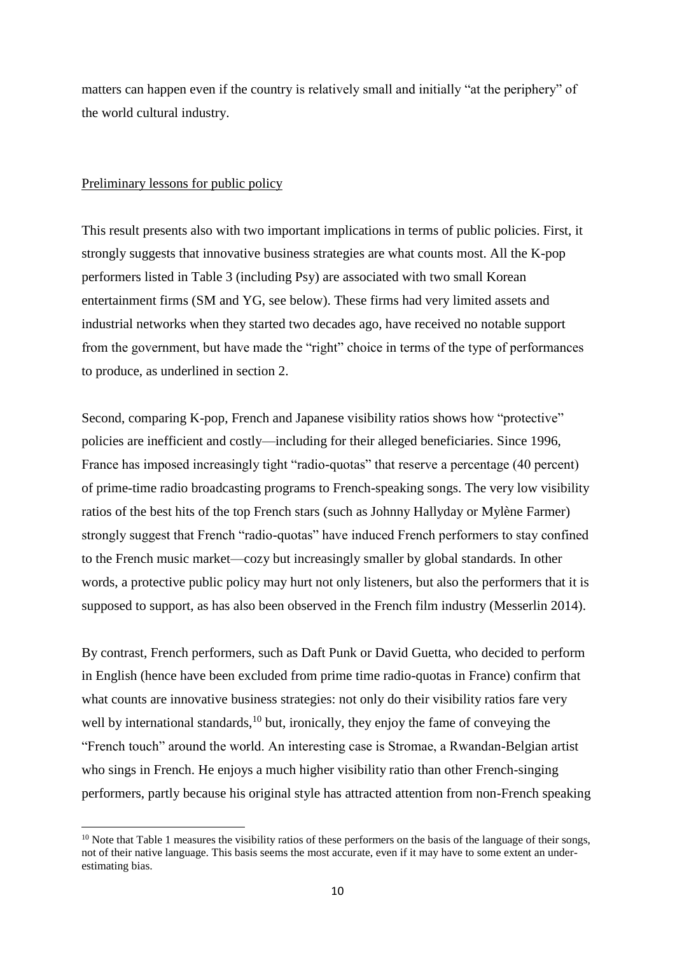matters can happen even if the country is relatively small and initially "at the periphery" of the world cultural industry.

#### Preliminary lessons for public policy

1

This result presents also with two important implications in terms of public policies. First, it strongly suggests that innovative business strategies are what counts most. All the K-pop performers listed in Table 3 (including Psy) are associated with two small Korean entertainment firms (SM and YG, see below). These firms had very limited assets and industrial networks when they started two decades ago, have received no notable support from the government, but have made the "right" choice in terms of the type of performances to produce, as underlined in section 2.

Second, comparing K-pop, French and Japanese visibility ratios shows how "protective" policies are inefficient and costly—including for their alleged beneficiaries. Since 1996, France has imposed increasingly tight "radio-quotas" that reserve a percentage (40 percent) of prime-time radio broadcasting programs to French-speaking songs. The very low visibility ratios of the best hits of the top French stars (such as Johnny Hallyday or Mylène Farmer) strongly suggest that French "radio-quotas" have induced French performers to stay confined to the French music market—cozy but increasingly smaller by global standards. In other words, a protective public policy may hurt not only listeners, but also the performers that it is supposed to support, as has also been observed in the French film industry (Messerlin 2014).

By contrast, French performers, such as Daft Punk or David Guetta, who decided to perform in English (hence have been excluded from prime time radio-quotas in France) confirm that what counts are innovative business strategies: not only do their visibility ratios fare very well by international standards, $10$  but, ironically, they enjoy the fame of conveying the "French touch" around the world. An interesting case is Stromae, a Rwandan-Belgian artist who sings in French. He enjoys a much higher visibility ratio than other French-singing performers, partly because his original style has attracted attention from non-French speaking

<sup>&</sup>lt;sup>10</sup> Note that Table 1 measures the visibility ratios of these performers on the basis of the language of their songs, not of their native language. This basis seems the most accurate, even if it may have to some extent an underestimating bias.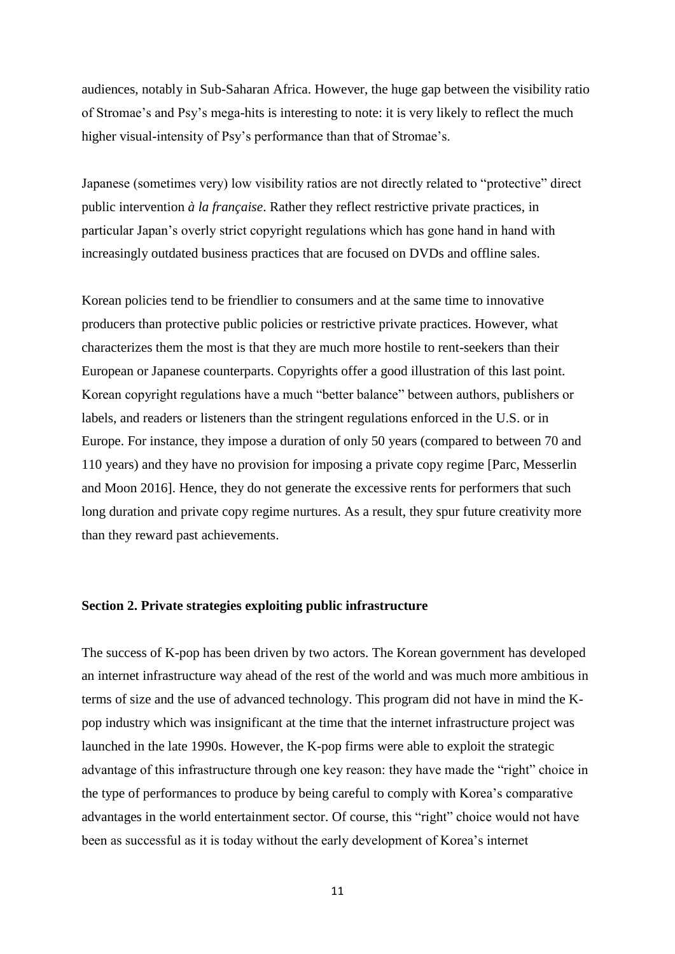audiences, notably in Sub-Saharan Africa. However, the huge gap between the visibility ratio of Stromae's and Psy's mega-hits is interesting to note: it is very likely to reflect the much higher visual-intensity of Psy's performance than that of Stromae's.

Japanese (sometimes very) low visibility ratios are not directly related to "protective" direct public intervention *à la française*. Rather they reflect restrictive private practices, in particular Japan's overly strict copyright regulations which has gone hand in hand with increasingly outdated business practices that are focused on DVDs and offline sales.

Korean policies tend to be friendlier to consumers and at the same time to innovative producers than protective public policies or restrictive private practices. However, what characterizes them the most is that they are much more hostile to rent-seekers than their European or Japanese counterparts. Copyrights offer a good illustration of this last point. Korean copyright regulations have a much "better balance" between authors, publishers or labels, and readers or listeners than the stringent regulations enforced in the U.S. or in Europe. For instance, they impose a duration of only 50 years (compared to between 70 and 110 years) and they have no provision for imposing a private copy regime [Parc, Messerlin and Moon 2016]. Hence, they do not generate the excessive rents for performers that such long duration and private copy regime nurtures. As a result, they spur future creativity more than they reward past achievements.

### **Section 2. Private strategies exploiting public infrastructure**

The success of K-pop has been driven by two actors. The Korean government has developed an internet infrastructure way ahead of the rest of the world and was much more ambitious in terms of size and the use of advanced technology. This program did not have in mind the Kpop industry which was insignificant at the time that the internet infrastructure project was launched in the late 1990s. However, the K-pop firms were able to exploit the strategic advantage of this infrastructure through one key reason: they have made the "right" choice in the type of performances to produce by being careful to comply with Korea's comparative advantages in the world entertainment sector. Of course, this "right" choice would not have been as successful as it is today without the early development of Korea's internet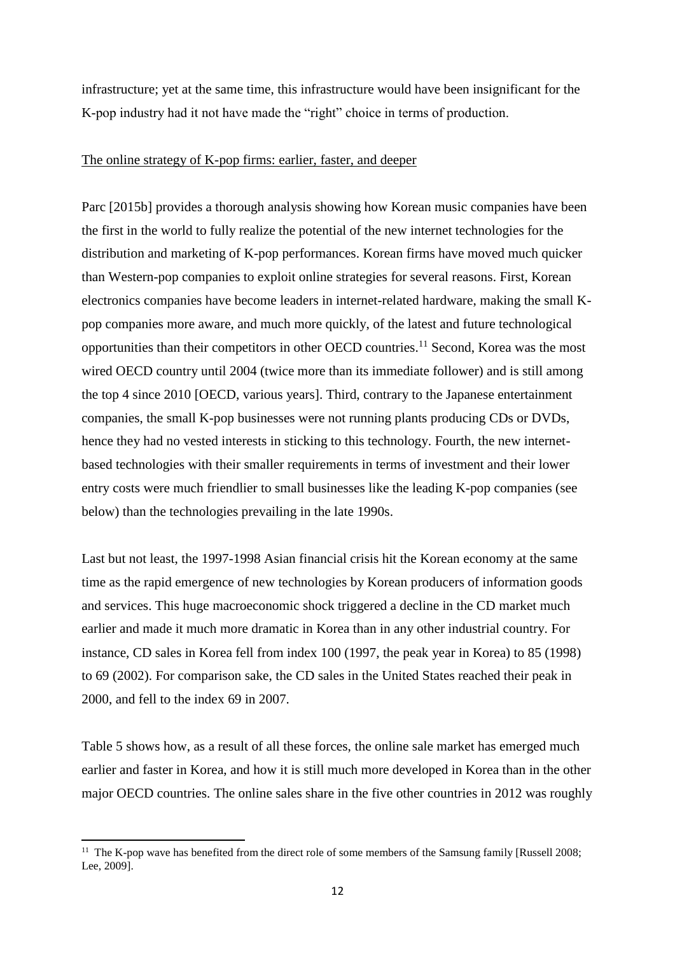infrastructure; yet at the same time, this infrastructure would have been insignificant for the K-pop industry had it not have made the "right" choice in terms of production.

### The online strategy of K-pop firms: earlier, faster, and deeper

Parc [2015b] provides a thorough analysis showing how Korean music companies have been the first in the world to fully realize the potential of the new internet technologies for the distribution and marketing of K-pop performances. Korean firms have moved much quicker than Western-pop companies to exploit online strategies for several reasons. First, Korean electronics companies have become leaders in internet-related hardware, making the small Kpop companies more aware, and much more quickly, of the latest and future technological opportunities than their competitors in other OECD countries.<sup>11</sup> Second, Korea was the most wired OECD country until 2004 (twice more than its immediate follower) and is still among the top 4 since 2010 [OECD, various years]. Third, contrary to the Japanese entertainment companies, the small K-pop businesses were not running plants producing CDs or DVDs, hence they had no vested interests in sticking to this technology. Fourth, the new internetbased technologies with their smaller requirements in terms of investment and their lower entry costs were much friendlier to small businesses like the leading K-pop companies (see below) than the technologies prevailing in the late 1990s.

Last but not least, the 1997-1998 Asian financial crisis hit the Korean economy at the same time as the rapid emergence of new technologies by Korean producers of information goods and services. This huge macroeconomic shock triggered a decline in the CD market much earlier and made it much more dramatic in Korea than in any other industrial country. For instance, CD sales in Korea fell from index 100 (1997, the peak year in Korea) to 85 (1998) to 69 (2002). For comparison sake, the CD sales in the United States reached their peak in 2000, and fell to the index 69 in 2007.

Table 5 shows how, as a result of all these forces, the online sale market has emerged much earlier and faster in Korea, and how it is still much more developed in Korea than in the other major OECD countries. The online sales share in the five other countries in 2012 was roughly

**<sup>.</sup>** <sup>11</sup> The K-pop wave has benefited from the direct role of some members of the Samsung family [Russell 2008; Lee, 2009].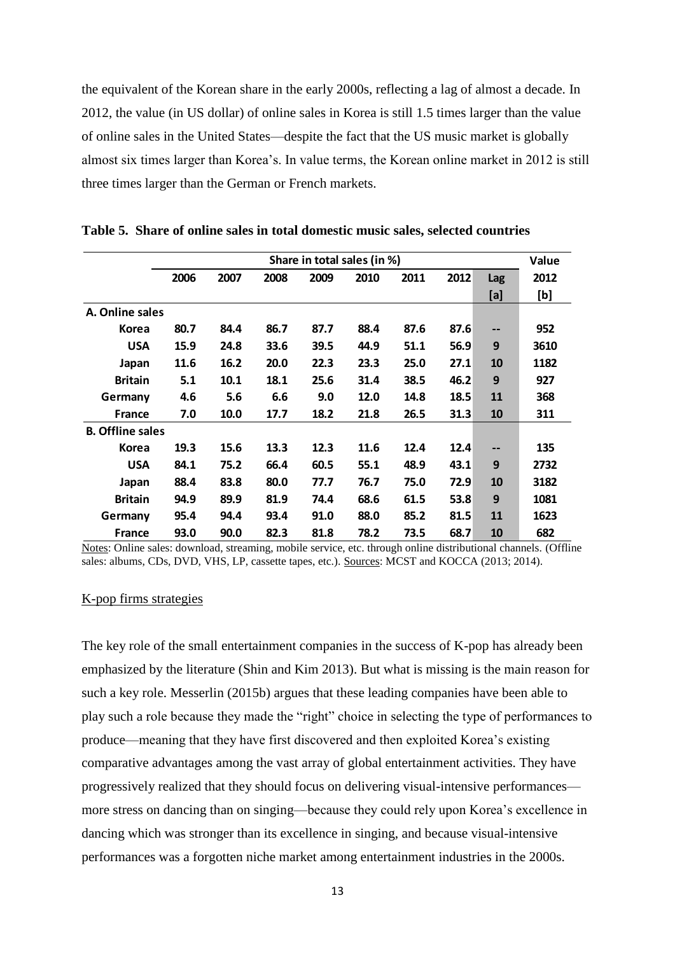the equivalent of the Korean share in the early 2000s, reflecting a lag of almost a decade. In 2012, the value (in US dollar) of online sales in Korea is still 1.5 times larger than the value of online sales in the United States—despite the fact that the US music market is globally almost six times larger than Korea's. In value terms, the Korean online market in 2012 is still three times larger than the German or French markets.

|                         | Share in total sales (in %) |      |      |      |      |      |      | Value |      |
|-------------------------|-----------------------------|------|------|------|------|------|------|-------|------|
|                         | 2006                        | 2007 | 2008 | 2009 | 2010 | 2011 | 2012 | Lag   | 2012 |
|                         |                             |      |      |      |      |      |      | [a]   | [b]  |
| A. Online sales         |                             |      |      |      |      |      |      |       |      |
| <b>Korea</b>            | 80.7                        | 84.4 | 86.7 | 87.7 | 88.4 | 87.6 | 87.6 | --    | 952  |
| <b>USA</b>              | 15.9                        | 24.8 | 33.6 | 39.5 | 44.9 | 51.1 | 56.9 | 9     | 3610 |
| Japan                   | 11.6                        | 16.2 | 20.0 | 22.3 | 23.3 | 25.0 | 27.1 | 10    | 1182 |
| <b>Britain</b>          | 5.1                         | 10.1 | 18.1 | 25.6 | 31.4 | 38.5 | 46.2 | 9     | 927  |
| Germany                 | 4.6                         | 5.6  | 6.6  | 9.0  | 12.0 | 14.8 | 18.5 | 11    | 368  |
| <b>France</b>           | 7.0                         | 10.0 | 17.7 | 18.2 | 21.8 | 26.5 | 31.3 | 10    | 311  |
| <b>B. Offline sales</b> |                             |      |      |      |      |      |      |       |      |
| Korea                   | 19.3                        | 15.6 | 13.3 | 12.3 | 11.6 | 12.4 | 12.4 | --    | 135  |
| <b>USA</b>              | 84.1                        | 75.2 | 66.4 | 60.5 | 55.1 | 48.9 | 43.1 | 9     | 2732 |
| Japan                   | 88.4                        | 83.8 | 80.0 | 77.7 | 76.7 | 75.0 | 72.9 | 10    | 3182 |
| <b>Britain</b>          | 94.9                        | 89.9 | 81.9 | 74.4 | 68.6 | 61.5 | 53.8 | 9     | 1081 |
| Germany                 | 95.4                        | 94.4 | 93.4 | 91.0 | 88.0 | 85.2 | 81.5 | 11    | 1623 |
| <b>France</b>           | 93.0                        | 90.0 | 82.3 | 81.8 | 78.2 | 73.5 | 68.7 | 10    | 682  |

**Table 5. Share of online sales in total domestic music sales, selected countries**

Notes: Online sales: download, streaming, mobile service, etc. through online distributional channels. (Offline sales: albums, CDs, DVD, VHS, LP, cassette tapes, etc.). Sources: MCST and KOCCA (2013; 2014).

## K-pop firms strategies

The key role of the small entertainment companies in the success of K-pop has already been emphasized by the literature (Shin and Kim 2013). But what is missing is the main reason for such a key role. Messerlin (2015b) argues that these leading companies have been able to play such a role because they made the "right" choice in selecting the type of performances to produce—meaning that they have first discovered and then exploited Korea's existing comparative advantages among the vast array of global entertainment activities. They have progressively realized that they should focus on delivering visual-intensive performances more stress on dancing than on singing—because they could rely upon Korea's excellence in dancing which was stronger than its excellence in singing, and because visual-intensive performances was a forgotten niche market among entertainment industries in the 2000s.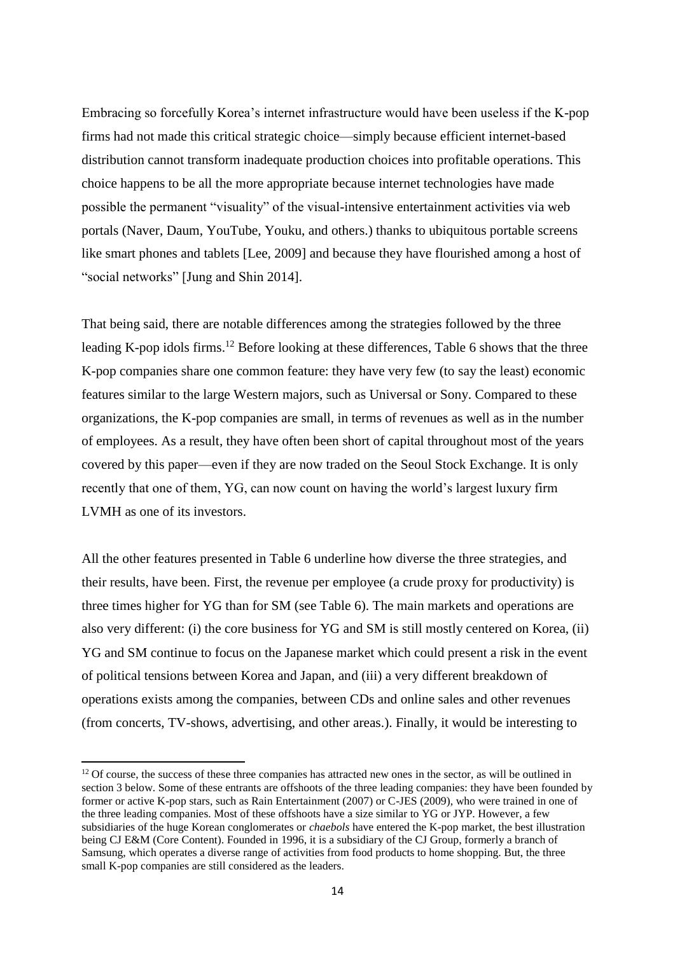Embracing so forcefully Korea's internet infrastructure would have been useless if the K-pop firms had not made this critical strategic choice—simply because efficient internet-based distribution cannot transform inadequate production choices into profitable operations. This choice happens to be all the more appropriate because internet technologies have made possible the permanent "visuality" of the visual-intensive entertainment activities via web portals (Naver, Daum, YouTube, Youku, and others.) thanks to ubiquitous portable screens like smart phones and tablets [Lee, 2009] and because they have flourished among a host of "social networks" [Jung and Shin 2014].

That being said, there are notable differences among the strategies followed by the three leading K-pop idols firms.<sup>12</sup> Before looking at these differences, Table 6 shows that the three K-pop companies share one common feature: they have very few (to say the least) economic features similar to the large Western majors, such as Universal or Sony. Compared to these organizations, the K-pop companies are small, in terms of revenues as well as in the number of employees. As a result, they have often been short of capital throughout most of the years covered by this paper—even if they are now traded on the Seoul Stock Exchange. It is only recently that one of them, YG, can now count on having the world's largest luxury firm LVMH as one of its investors.

All the other features presented in Table 6 underline how diverse the three strategies, and their results, have been. First, the revenue per employee (a crude proxy for productivity) is three times higher for YG than for SM (see Table 6). The main markets and operations are also very different: (i) the core business for YG and SM is still mostly centered on Korea, (ii) YG and SM continue to focus on the Japanese market which could present a risk in the event of political tensions between Korea and Japan, and (iii) a very different breakdown of operations exists among the companies, between CDs and online sales and other revenues (from concerts, TV-shows, advertising, and other areas.). Finally, it would be interesting to

**.** 

 $12$  Of course, the success of these three companies has attracted new ones in the sector, as will be outlined in section 3 below. Some of these entrants are offshoots of the three leading companies: they have been founded by former or active K-pop stars, such as Rain Entertainment (2007) or C-JES (2009), who were trained in one of the three leading companies. Most of these offshoots have a size similar to YG or JYP. However, a few subsidiaries of the huge Korean conglomerates or *chaebols* have entered the K-pop market, the best illustration being CJ E&M (Core Content). Founded in 1996, it is a subsidiary of the CJ Group, formerly a branch of Samsung, which operates a diverse range of activities from food products to home shopping. But, the three small K-pop companies are still considered as the leaders.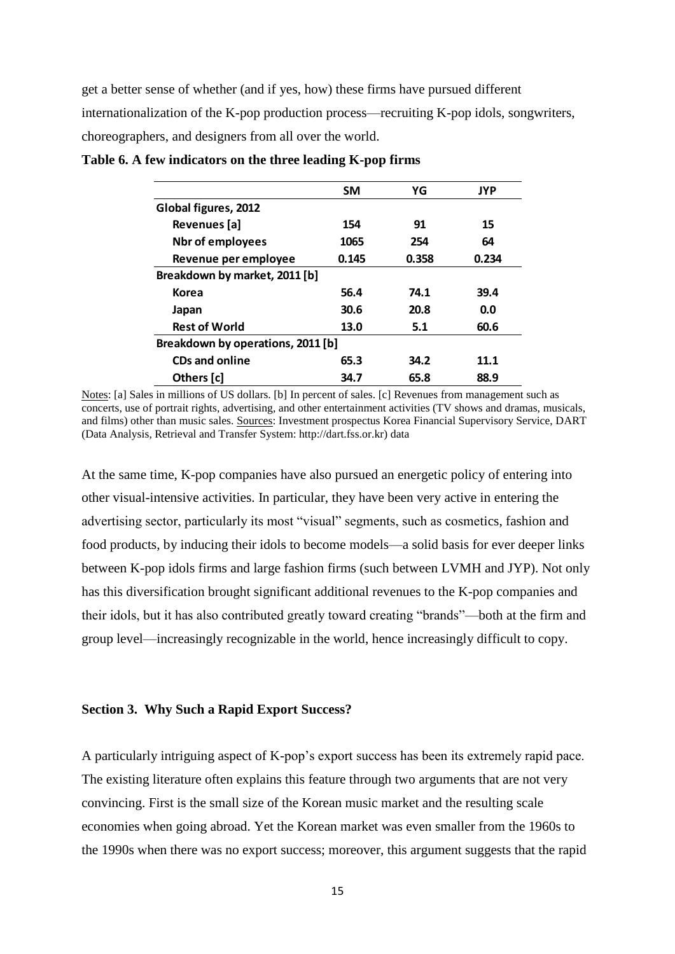get a better sense of whether (and if yes, how) these firms have pursued different internationalization of the K-pop production process—recruiting K-pop idols, songwriters, choreographers, and designers from all over the world.

|                                   | <b>SM</b> | YG    | <b>JYP</b> |  |
|-----------------------------------|-----------|-------|------------|--|
| Global figures, 2012              |           |       |            |  |
| Revenues [a]                      | 154       | 91    | 15         |  |
| <b>Nbr of employees</b>           | 1065      | 254   | 64         |  |
| Revenue per employee              | 0.145     | 0.358 | 0.234      |  |
| Breakdown by market, 2011 [b]     |           |       |            |  |
| Korea                             | 56.4      | 74.1  | 39.4       |  |
| Japan                             | 30.6      | 20.8  | 0.0        |  |
| <b>Rest of World</b>              | 13.0      | 5.1   | 60.6       |  |
| Breakdown by operations, 2011 [b] |           |       |            |  |
| <b>CDs and online</b>             | 65.3      | 34.2  | 11.1       |  |
| Others [c]                        | 34.7      | 65.8  | 88.9       |  |

**Table 6. A few indicators on the three leading K-pop firms**

Notes: [a] Sales in millions of US dollars. [b] In percent of sales. [c] Revenues from management such as concerts, use of portrait rights, advertising, and other entertainment activities (TV shows and dramas, musicals, and films) other than music sales. Sources: Investment prospectus Korea Financial Supervisory Service, DART (Data Analysis, Retrieval and Transfer System: [http://dart.fss.or.kr\)](http://dart.fss.or.kr/) data

At the same time, K-pop companies have also pursued an energetic policy of entering into other visual-intensive activities. In particular, they have been very active in entering the advertising sector, particularly its most "visual" segments, such as cosmetics, fashion and food products, by inducing their idols to become models—a solid basis for ever deeper links between K-pop idols firms and large fashion firms (such between LVMH and JYP). Not only has this diversification brought significant additional revenues to the K-pop companies and their idols, but it has also contributed greatly toward creating "brands"—both at the firm and group level—increasingly recognizable in the world, hence increasingly difficult to copy.

#### **Section 3. Why Such a Rapid Export Success?**

A particularly intriguing aspect of K-pop's export success has been its extremely rapid pace. The existing literature often explains this feature through two arguments that are not very convincing. First is the small size of the Korean music market and the resulting scale economies when going abroad. Yet the Korean market was even smaller from the 1960s to the 1990s when there was no export success; moreover, this argument suggests that the rapid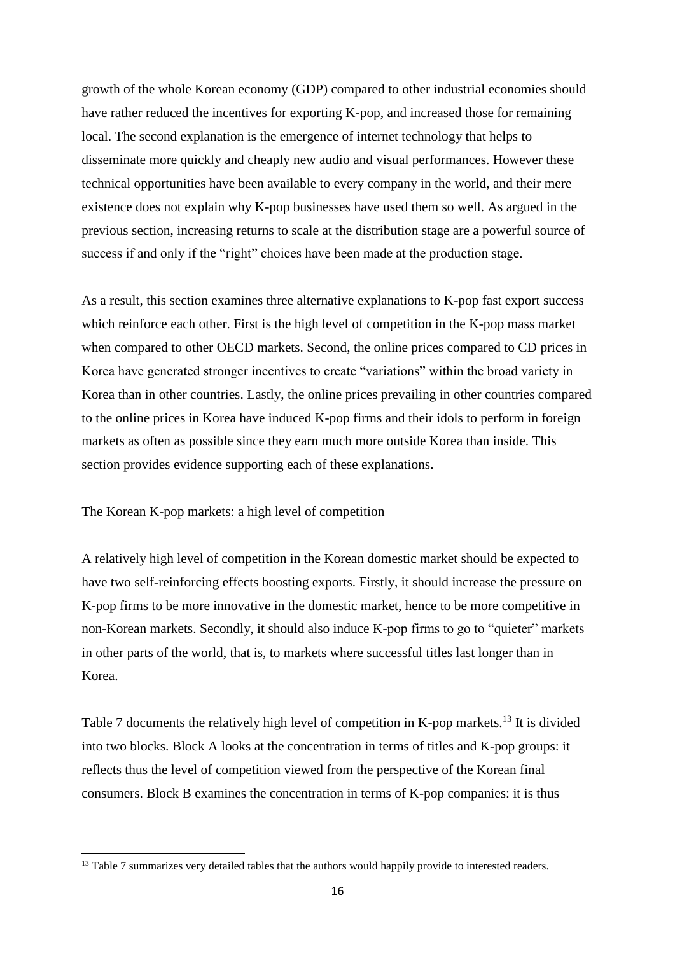growth of the whole Korean economy (GDP) compared to other industrial economies should have rather reduced the incentives for exporting K-pop, and increased those for remaining local. The second explanation is the emergence of internet technology that helps to disseminate more quickly and cheaply new audio and visual performances. However these technical opportunities have been available to every company in the world, and their mere existence does not explain why K-pop businesses have used them so well. As argued in the previous section, increasing returns to scale at the distribution stage are a powerful source of success if and only if the "right" choices have been made at the production stage.

As a result, this section examines three alternative explanations to K-pop fast export success which reinforce each other. First is the high level of competition in the K-pop mass market when compared to other OECD markets. Second, the online prices compared to CD prices in Korea have generated stronger incentives to create "variations" within the broad variety in Korea than in other countries. Lastly, the online prices prevailing in other countries compared to the online prices in Korea have induced K-pop firms and their idols to perform in foreign markets as often as possible since they earn much more outside Korea than inside. This section provides evidence supporting each of these explanations.

## The Korean K-pop markets: a high level of competition

**.** 

A relatively high level of competition in the Korean domestic market should be expected to have two self-reinforcing effects boosting exports. Firstly, it should increase the pressure on K-pop firms to be more innovative in the domestic market, hence to be more competitive in non-Korean markets. Secondly, it should also induce K-pop firms to go to "quieter" markets in other parts of the world, that is, to markets where successful titles last longer than in Korea.

Table 7 documents the relatively high level of competition in K-pop markets.<sup>13</sup> It is divided into two blocks. Block A looks at the concentration in terms of titles and K-pop groups: it reflects thus the level of competition viewed from the perspective of the Korean final consumers. Block B examines the concentration in terms of K-pop companies: it is thus

 $13$  Table 7 summarizes very detailed tables that the authors would happily provide to interested readers.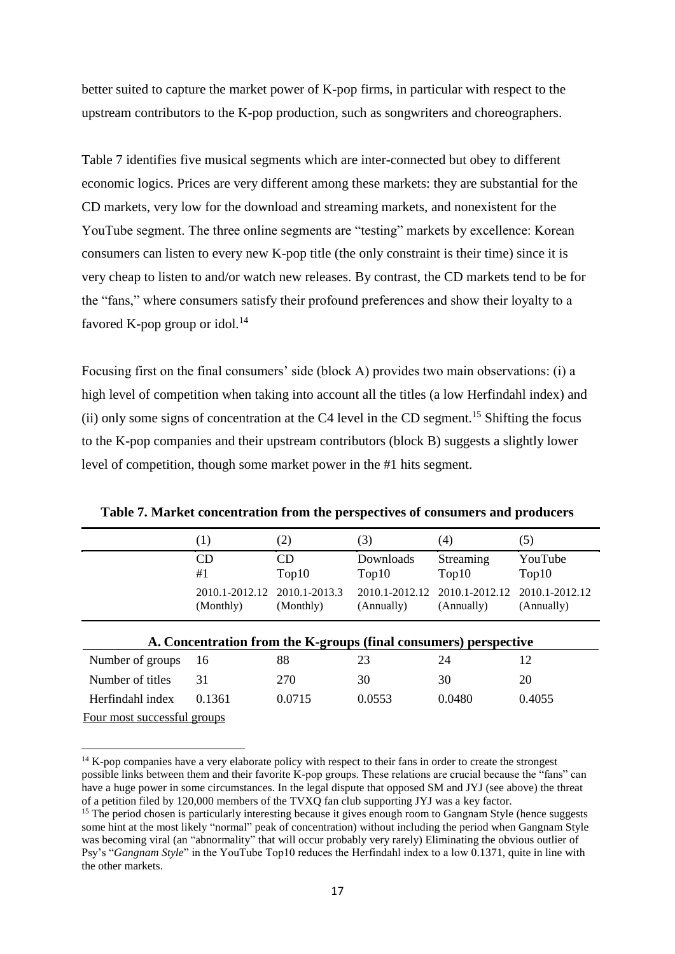better suited to capture the market power of K-pop firms, in particular with respect to the upstream contributors to the K-pop production, such as songwriters and choreographers.

Table 7 identifies five musical segments which are inter-connected but obey to different economic logics. Prices are very different among these markets: they are substantial for the CD markets, very low for the download and streaming markets, and nonexistent for the YouTube segment. The three online segments are "testing" markets by excellence: Korean consumers can listen to every new K-pop title (the only constraint is their time) since it is very cheap to listen to and/or watch new releases. By contrast, the CD markets tend to be for the "fans," where consumers satisfy their profound preferences and show their loyalty to a favored K-pop group or idol.<sup>14</sup>

Focusing first on the final consumers' side (block A) provides two main observations: (i) a high level of competition when taking into account all the titles (a low Herfindahl index) and (ii) only some signs of concentration at the C4 level in the CD segment.<sup>15</sup> Shifting the focus to the K-pop companies and their upstream contributors (block B) suggests a slightly lower level of competition, though some market power in the #1 hits segment.

|                             | $\left(1\right)$                                                 | (2)                        | (3)                          | (4)                          | (5)                          |  |
|-----------------------------|------------------------------------------------------------------|----------------------------|------------------------------|------------------------------|------------------------------|--|
|                             | CD<br>#1                                                         | CD<br>Top10                | Downloads<br>Top10           | Streaming<br>Top10           | YouTube<br>Top10             |  |
|                             | 2010.1-2012.12<br>(Monthly)                                      | 2010.1-2013.3<br>(Monthly) | 2010.1-2012.12<br>(Annually) | 2010.1-2012.12<br>(Annually) | 2010.1-2012.12<br>(Annually) |  |
|                             | A. Concentration from the K-groups (final consumers) perspective |                            |                              |                              |                              |  |
| Number of groups            | 16                                                               | 88                         | 23                           | 24                           | 12                           |  |
| Number of titles            | 31                                                               | 270                        | 30                           | 30                           | 20                           |  |
| Herfindahl index            | 0.1361                                                           | 0.0715                     | 0.0553                       | 0.0480                       | 0.4055                       |  |
| Four most successful groups |                                                                  |                            |                              |                              |                              |  |

**Table 7. Market concentration from the perspectives of consumers and producers**

 $\overline{a}$ 

<sup>&</sup>lt;sup>14</sup> K-pop companies have a very elaborate policy with respect to their fans in order to create the strongest possible links between them and their favorite K-pop groups. These relations are crucial because the "fans" can have a huge power in some circumstances. In the legal dispute that opposed SM and JYJ (see above) the threat of a petition filed by 120,000 members of the TVXQ fan club supporting JYJ was a key factor.

<sup>&</sup>lt;sup>15</sup> The period chosen is particularly interesting because it gives enough room to Gangnam Style (hence suggests some hint at the most likely "normal" peak of concentration) without including the period when Gangnam Style was becoming viral (an "abnormality" that will occur probably very rarely) Eliminating the obvious outlier of Psy's "*Gangnam Style*" in the YouTube Top10 reduces the Herfindahl index to a low 0.1371, quite in line with the other markets.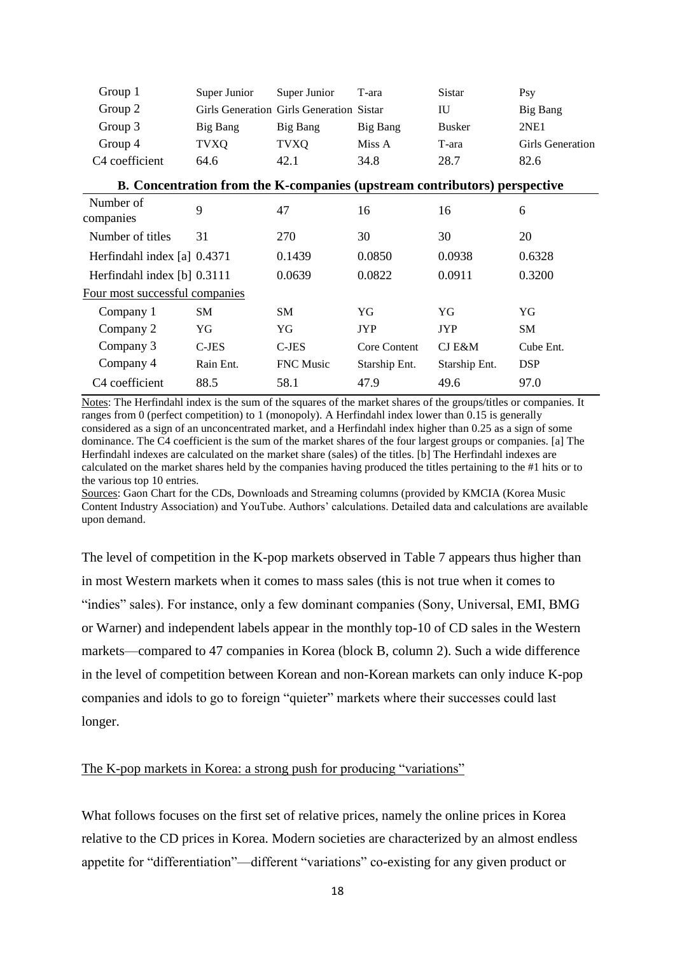| Group 1                        | Super Junior                                                              | Super Junior                             | T-ara         | Sistar        | Psy                     |
|--------------------------------|---------------------------------------------------------------------------|------------------------------------------|---------------|---------------|-------------------------|
| Group 2                        |                                                                           | Girls Generation Girls Generation Sistar |               | IU            | Big Bang                |
| Group 3                        | Big Bang                                                                  | Big Bang                                 | Big Bang      | <b>Busker</b> | 2NE1                    |
| Group 4                        | <b>TVXQ</b>                                                               | <b>TVXQ</b>                              | Miss A        | T-ara         | <b>Girls Generation</b> |
| C4 coefficient                 | 64.6                                                                      | 42.1                                     | 34.8          | 28.7          | 82.6                    |
|                                | B. Concentration from the K-companies (upstream contributors) perspective |                                          |               |               |                         |
| Number of<br>companies         | 9                                                                         | 47                                       | 16            | 16            | 6                       |
| Number of titles               | 31                                                                        | 270                                      | 30            | 30            | 20                      |
| Herfindahl index [a] 0.4371    |                                                                           | 0.1439                                   | 0.0850        | 0.0938        | 0.6328                  |
| Herfindahl index [b] 0.3111    |                                                                           | 0.0639                                   | 0.0822        | 0.0911        | 0.3200                  |
| Four most successful companies |                                                                           |                                          |               |               |                         |
| Company 1                      | <b>SM</b>                                                                 | <b>SM</b>                                | YG            | YG            | YG                      |
| Company 2                      | YG                                                                        | YG                                       | <b>JYP</b>    | <b>JYP</b>    | <b>SM</b>               |
| Company 3                      | $C-JES$                                                                   | $C$ -JES                                 | Core Content  | CJ E&M        | Cube Ent.               |
| Company 4                      | Rain Ent.                                                                 | FNC Music                                | Starship Ent. | Starship Ent. | <b>DSP</b>              |
| C4 coefficient                 | 88.5                                                                      | 58.1                                     | 47.9          | 49.6          | 97.0                    |

Notes: The Herfindahl index is the sum of the squares of the market shares of the groups/titles or companies. It ranges from 0 (perfect competition) to 1 (monopoly). A Herfindahl index lower than 0.15 is generally considered as a sign of an unconcentrated market, and a Herfindahl index higher than 0.25 as a sign of some dominance. The C4 coefficient is the sum of the market shares of the four largest groups or companies. [a] The Herfindahl indexes are calculated on the market share (sales) of the titles. [b] The Herfindahl indexes are calculated on the market shares held by the companies having produced the titles pertaining to the #1 hits or to the various top 10 entries.

Sources: Gaon Chart for the CDs, Downloads and Streaming columns (provided by KMCIA (Korea Music Content Industry Association) and YouTube. Authors' calculations. Detailed data and calculations are available upon demand.

The level of competition in the K-pop markets observed in Table 7 appears thus higher than in most Western markets when it comes to mass sales (this is not true when it comes to "indies" sales). For instance, only a few dominant companies (Sony, Universal, EMI, BMG or Warner) and independent labels appear in the monthly top-10 of CD sales in the Western markets—compared to 47 companies in Korea (block B, column 2). Such a wide difference in the level of competition between Korean and non-Korean markets can only induce K-pop companies and idols to go to foreign "quieter" markets where their successes could last longer.

# The K-pop markets in Korea: a strong push for producing "variations"

What follows focuses on the first set of relative prices, namely the online prices in Korea relative to the CD prices in Korea. Modern societies are characterized by an almost endless appetite for "differentiation"—different "variations" co-existing for any given product or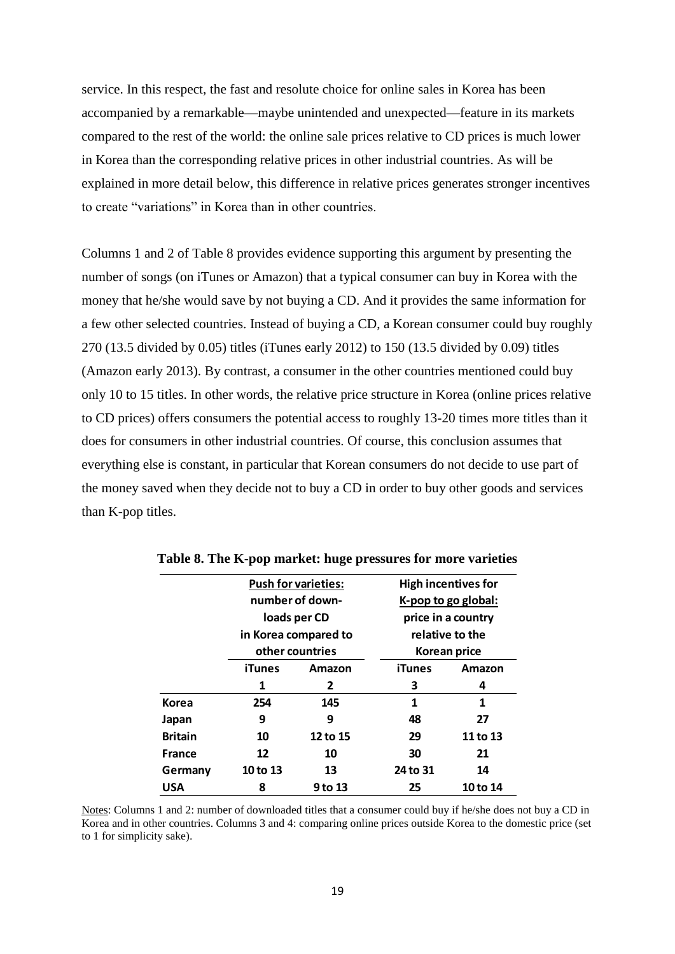service. In this respect, the fast and resolute choice for online sales in Korea has been accompanied by a remarkable—maybe unintended and unexpected—feature in its markets compared to the rest of the world: the online sale prices relative to CD prices is much lower in Korea than the corresponding relative prices in other industrial countries. As will be explained in more detail below, this difference in relative prices generates stronger incentives to create "variations" in Korea than in other countries.

Columns 1 and 2 of Table 8 provides evidence supporting this argument by presenting the number of songs (on iTunes or Amazon) that a typical consumer can buy in Korea with the money that he/she would save by not buying a CD. And it provides the same information for a few other selected countries. Instead of buying a CD, a Korean consumer could buy roughly 270 (13.5 divided by 0.05) titles (iTunes early 2012) to 150 (13.5 divided by 0.09) titles (Amazon early 2013). By contrast, a consumer in the other countries mentioned could buy only 10 to 15 titles. In other words, the relative price structure in Korea (online prices relative to CD prices) offers consumers the potential access to roughly 13-20 times more titles than it does for consumers in other industrial countries. Of course, this conclusion assumes that everything else is constant, in particular that Korean consumers do not decide to use part of the money saved when they decide not to buy a CD in order to buy other goods and services than K-pop titles.

|                |          | <b>Push for varieties:</b> |                 | <b>High incentives for</b> |  |  |
|----------------|----------|----------------------------|-----------------|----------------------------|--|--|
|                |          | number of down-            |                 | K-pop to go global:        |  |  |
|                |          | loads per CD               |                 | price in a country         |  |  |
|                |          | in Korea compared to       | relative to the |                            |  |  |
|                |          | other countries            |                 | Korean price               |  |  |
|                | iTunes   | Amazon                     |                 | Amazon                     |  |  |
|                | 1        | 2                          | З               | 4                          |  |  |
| Korea          | 254      | 145                        | 1               | 1                          |  |  |
| Japan          | 9        | 9                          | 48              | 27                         |  |  |
| <b>Britain</b> | 10       | 12 to 15                   | 29              | 11 to 13                   |  |  |
| <b>France</b>  | 12       | 10                         | 30              | 21                         |  |  |
| Germany        | 10 to 13 | 13                         | 24 to 31        | 14                         |  |  |
| <b>USA</b>     | 8        | 9 to 13                    | 25              | 10 to 14                   |  |  |

**Table 8. The K-pop market: huge pressures for more varieties**

Notes: Columns 1 and 2: number of downloaded titles that a consumer could buy if he/she does not buy a CD in Korea and in other countries. Columns 3 and 4: comparing online prices outside Korea to the domestic price (set to 1 for simplicity sake).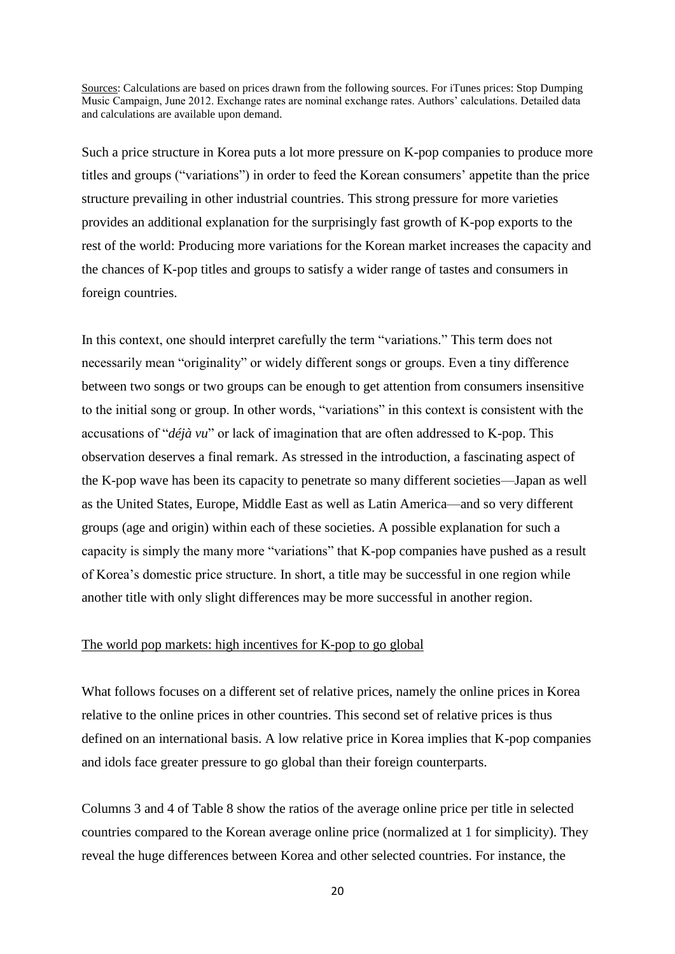Sources: Calculations are based on prices drawn from the following sources. For iTunes prices: Stop Dumping Music Campaign, June 2012. Exchange rates are nominal exchange rates. Authors' calculations. Detailed data and calculations are available upon demand.

Such a price structure in Korea puts a lot more pressure on K-pop companies to produce more titles and groups ("variations") in order to feed the Korean consumers' appetite than the price structure prevailing in other industrial countries. This strong pressure for more varieties provides an additional explanation for the surprisingly fast growth of K-pop exports to the rest of the world: Producing more variations for the Korean market increases the capacity and the chances of K-pop titles and groups to satisfy a wider range of tastes and consumers in foreign countries.

In this context, one should interpret carefully the term "variations." This term does not necessarily mean "originality" or widely different songs or groups. Even a tiny difference between two songs or two groups can be enough to get attention from consumers insensitive to the initial song or group. In other words, "variations" in this context is consistent with the accusations of "*déjà vu*" or lack of imagination that are often addressed to K-pop. This observation deserves a final remark. As stressed in the introduction, a fascinating aspect of the K-pop wave has been its capacity to penetrate so many different societies—Japan as well as the United States, Europe, Middle East as well as Latin America—and so very different groups (age and origin) within each of these societies. A possible explanation for such a capacity is simply the many more "variations" that K-pop companies have pushed as a result of Korea's domestic price structure. In short, a title may be successful in one region while another title with only slight differences may be more successful in another region.

#### The world pop markets: high incentives for K-pop to go global

What follows focuses on a different set of relative prices, namely the online prices in Korea relative to the online prices in other countries. This second set of relative prices is thus defined on an international basis. A low relative price in Korea implies that K-pop companies and idols face greater pressure to go global than their foreign counterparts.

Columns 3 and 4 of Table 8 show the ratios of the average online price per title in selected countries compared to the Korean average online price (normalized at 1 for simplicity). They reveal the huge differences between Korea and other selected countries. For instance, the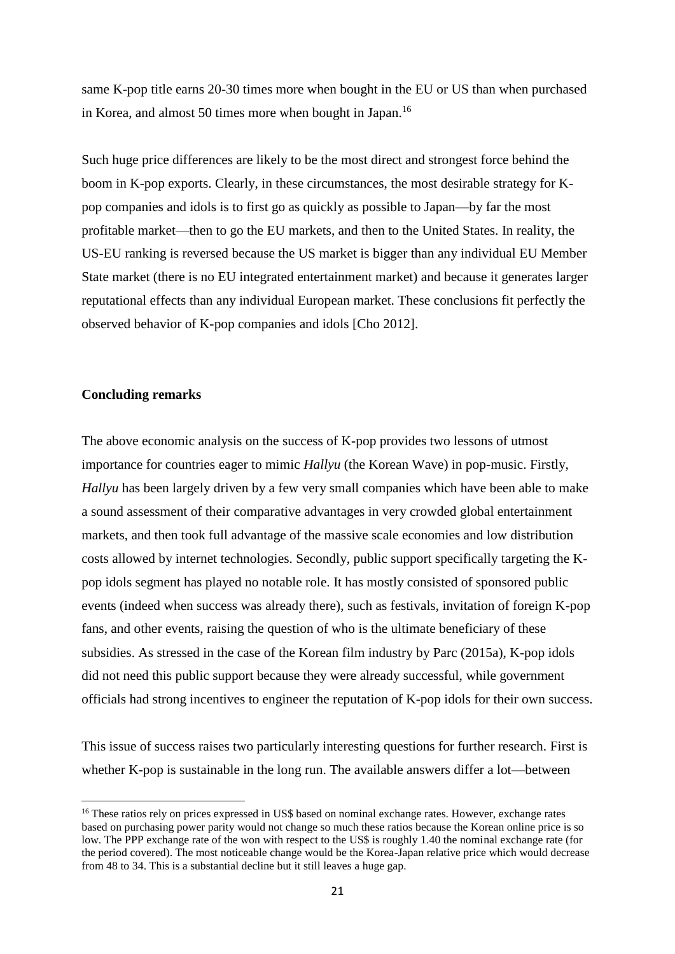same K-pop title earns 20-30 times more when bought in the EU or US than when purchased in Korea, and almost 50 times more when bought in Japan.<sup>16</sup>

Such huge price differences are likely to be the most direct and strongest force behind the boom in K-pop exports. Clearly, in these circumstances, the most desirable strategy for Kpop companies and idols is to first go as quickly as possible to Japan—by far the most profitable market—then to go the EU markets, and then to the United States. In reality, the US-EU ranking is reversed because the US market is bigger than any individual EU Member State market (there is no EU integrated entertainment market) and because it generates larger reputational effects than any individual European market. These conclusions fit perfectly the observed behavior of K-pop companies and idols [Cho 2012].

### **Concluding remarks**

**.** 

The above economic analysis on the success of K-pop provides two lessons of utmost importance for countries eager to mimic *Hallyu* (the Korean Wave) in pop-music. Firstly, *Hallyu* has been largely driven by a few very small companies which have been able to make a sound assessment of their comparative advantages in very crowded global entertainment markets, and then took full advantage of the massive scale economies and low distribution costs allowed by internet technologies. Secondly, public support specifically targeting the Kpop idols segment has played no notable role. It has mostly consisted of sponsored public events (indeed when success was already there), such as festivals, invitation of foreign K-pop fans, and other events, raising the question of who is the ultimate beneficiary of these subsidies. As stressed in the case of the Korean film industry by Parc (2015a), K-pop idols did not need this public support because they were already successful, while government officials had strong incentives to engineer the reputation of K-pop idols for their own success.

This issue of success raises two particularly interesting questions for further research. First is whether K-pop is sustainable in the long run. The available answers differ a lot—between

<sup>&</sup>lt;sup>16</sup> These ratios rely on prices expressed in US\$ based on nominal exchange rates. However, exchange rates based on purchasing power parity would not change so much these ratios because the Korean online price is so low. The PPP exchange rate of the won with respect to the US\$ is roughly 1.40 the nominal exchange rate (for the period covered). The most noticeable change would be the Korea-Japan relative price which would decrease from 48 to 34. This is a substantial decline but it still leaves a huge gap.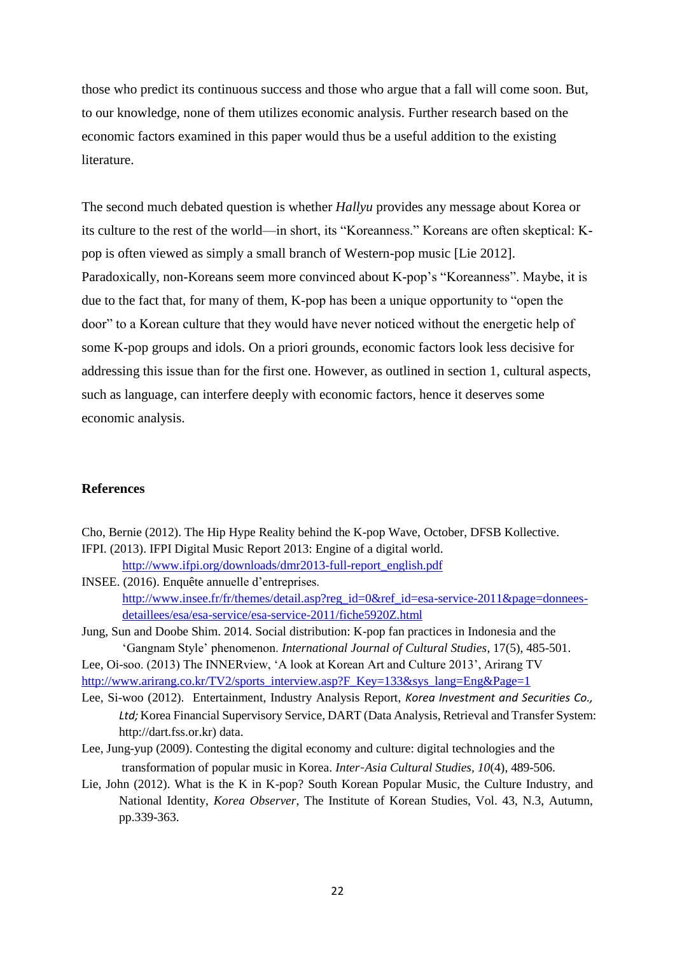those who predict its continuous success and those who argue that a fall will come soon. But, to our knowledge, none of them utilizes economic analysis. Further research based on the economic factors examined in this paper would thus be a useful addition to the existing literature.

The second much debated question is whether *Hallyu* provides any message about Korea or its culture to the rest of the world—in short, its "Koreanness." Koreans are often skeptical: Kpop is often viewed as simply a small branch of Western-pop music [Lie 2012]. Paradoxically, non-Koreans seem more convinced about K-pop's "Koreanness". Maybe, it is due to the fact that, for many of them, K-pop has been a unique opportunity to "open the door" to a Korean culture that they would have never noticed without the energetic help of some K-pop groups and idols. On a priori grounds, economic factors look less decisive for addressing this issue than for the first one. However, as outlined in section 1, cultural aspects, such as language, can interfere deeply with economic factors, hence it deserves some economic analysis.

## **References**

Cho, Bernie (2012). The Hip Hype Reality behind the K-pop Wave, October, DFSB Kollective. IFPI. (2013). IFPI Digital Music Report 2013: Engine of a digital world.

[http://www.ifpi.org/downloads/dmr2013-full-report\\_english.pdf](http://www.ifpi.org/downloads/dmr2013-full-report_english.pdf)

- INSEE. (2016). Enquête annuelle d'entreprises. [http://www.insee.fr/fr/themes/detail.asp?reg\\_id=0&ref\\_id=esa-service-2011&page=donnees](http://www.insee.fr/fr/themes/detail.asp?reg_id=0&ref_id=esa-service-2011&page=donnees-detaillees/esa/esa-service/esa-service-2011/fiche5920Z.html)[detaillees/esa/esa-service/esa-service-2011/fiche5920Z.html](http://www.insee.fr/fr/themes/detail.asp?reg_id=0&ref_id=esa-service-2011&page=donnees-detaillees/esa/esa-service/esa-service-2011/fiche5920Z.html)
- Jung, Sun and Doobe Shim. 2014. Social distribution: K-pop fan practices in Indonesia and the 'Gangnam Style' phenomenon. *International Journal of Cultural Studies*, 17(5), 485-501.

Lee, Oi-soo. (2013) The INNERview, 'A look at Korean Art and Culture 2013', Arirang TV [http://www.arirang.co.kr/TV2/sports\\_interview.asp?F\\_Key=133&sys\\_lang=Eng&Page=1](http://www.arirang.co.kr/TV2/sports_interview.asp?F_Key=133&sys_lang=Eng&Page=1)

- Lee, Si-woo (2012). Entertainment, Industry Analysis Report, *Korea Investment and Securities Co., Ltd;* Korea Financial Supervisory Service, DART (Data Analysis, Retrieval and Transfer System: [http://dart.fss.or.kr\)](http://dart.fss.or.kr/) data.
- Lee, Jung-yup (2009). Contesting the digital economy and culture: digital technologies and the transformation of popular music in Korea. *Inter‐Asia Cultural Studies, 10*(4), 489-506.
- Lie, John (2012). What is the K in K-pop? South Korean Popular Music, the Culture Industry, and National Identity, *Korea Observer*, The Institute of Korean Studies, Vol. 43, N.3, Autumn, pp.339-363.